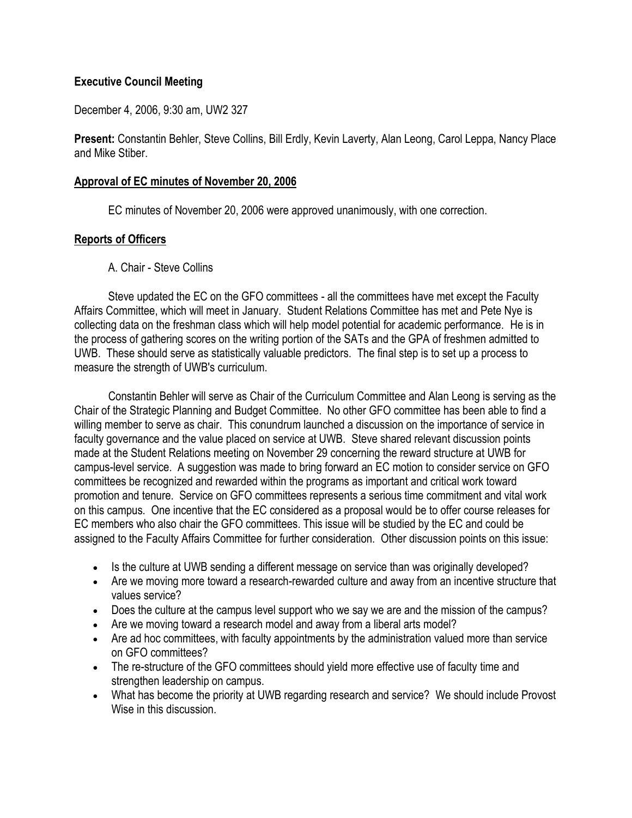#### **Executive Council Meeting**

December 4, 2006, 9:30 am, UW2 327

**Present:** Constantin Behler, Steve Collins, Bill Erdly, Kevin Laverty, Alan Leong, Carol Leppa, Nancy Place and Mike Stiber.

#### **Approval of EC minutes of November 20, 2006**

EC minutes of November 20, 2006 were approved unanimously, with one correction.

#### **Reports of Officers**

A. Chair - Steve Collins

 Steve updated the EC on the GFO committees - all the committees have met except the Faculty Affairs Committee, which will meet in January. Student Relations Committee has met and Pete Nye is collecting data on the freshman class which will help model potential for academic performance. He is in the process of gathering scores on the writing portion of the SATs and the GPA of freshmen admitted to UWB. These should serve as statistically valuable predictors. The final step is to set up a process to measure the strength of UWB's curriculum.

 Constantin Behler will serve as Chair of the Curriculum Committee and Alan Leong is serving as the Chair of the Strategic Planning and Budget Committee. No other GFO committee has been able to find a willing member to serve as chair. This conundrum launched a discussion on the importance of service in faculty governance and the value placed on service at UWB. Steve shared relevant discussion points made at the Student Relations meeting on November 29 concerning the reward structure at UWB for campus-level service. A suggestion was made to bring forward an EC motion to consider service on GFO committees be recognized and rewarded within the programs as important and critical work toward promotion and tenure. Service on GFO committees represents a serious time commitment and vital work on this campus. One incentive that the EC considered as a proposal would be to offer course releases for EC members who also chair the GFO committees. This issue will be studied by the EC and could be assigned to the Faculty Affairs Committee for further consideration. Other discussion points on this issue:

- Is the culture at UWB sending a different message on service than was originally developed?
- Are we moving more toward a research-rewarded culture and away from an incentive structure that values service?
- Does the culture at the campus level support who we say we are and the mission of the campus?
- Are we moving toward a research model and away from a liberal arts model?
- Are ad hoc committees, with faculty appointments by the administration valued more than service on GFO committees?
- The re-structure of the GFO committees should yield more effective use of faculty time and strengthen leadership on campus.
- What has become the priority at UWB regarding research and service? We should include Provost Wise in this discussion.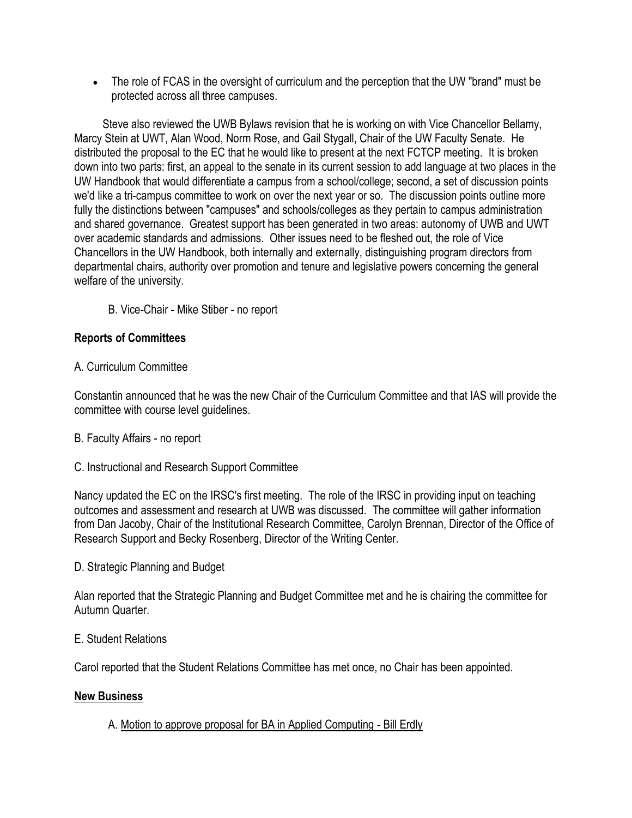The role of FCAS in the oversight of curriculum and the perception that the UW "brand" must be protected across all three campuses.

 Steve also reviewed the UWB Bylaws revision that he is working on with Vice Chancellor Bellamy, Marcy Stein at UWT, Alan Wood, Norm Rose, and Gail Stygall, Chair of the UW Faculty Senate. He distributed the proposal to the EC that he would like to present at the next FCTCP meeting. It is broken down into two parts: first, an appeal to the senate in its current session to add language at two places in the UW Handbook that would differentiate a campus from a school/college; second, a set of discussion points we'd like a tri-campus committee to work on over the next year or so. The discussion points outline more fully the distinctions between "campuses" and schools/colleges as they pertain to campus administration and shared governance. Greatest support has been generated in two areas: autonomy of UWB and UWT over academic standards and admissions. Other issues need to be fleshed out, the role of Vice Chancellors in the UW Handbook, both internally and externally, distinguishing program directors from departmental chairs, authority over promotion and tenure and legislative powers concerning the general welfare of the university.

B. Vice-Chair - Mike Stiber - no report

### **Reports of Committees**

### A. Curriculum Committee

Constantin announced that he was the new Chair of the Curriculum Committee and that IAS will provide the committee with course level guidelines.

- B. Faculty Affairs no report
- C. Instructional and Research Support Committee

Nancy updated the EC on the IRSC's first meeting. The role of the IRSC in providing input on teaching outcomes and assessment and research at UWB was discussed. The committee will gather information from Dan Jacoby, Chair of the Institutional Research Committee, Carolyn Brennan, Director of the Office of Research Support and Becky Rosenberg, Director of the Writing Center.

D. Strategic Planning and Budget

Alan reported that the Strategic Planning and Budget Committee met and he is chairing the committee for Autumn Quarter.

#### E. Student Relations

Carol reported that the Student Relations Committee has met once, no Chair has been appointed.

#### **New Business**

# A. Motion to approve proposal for BA in Applied Computing - Bill Erdly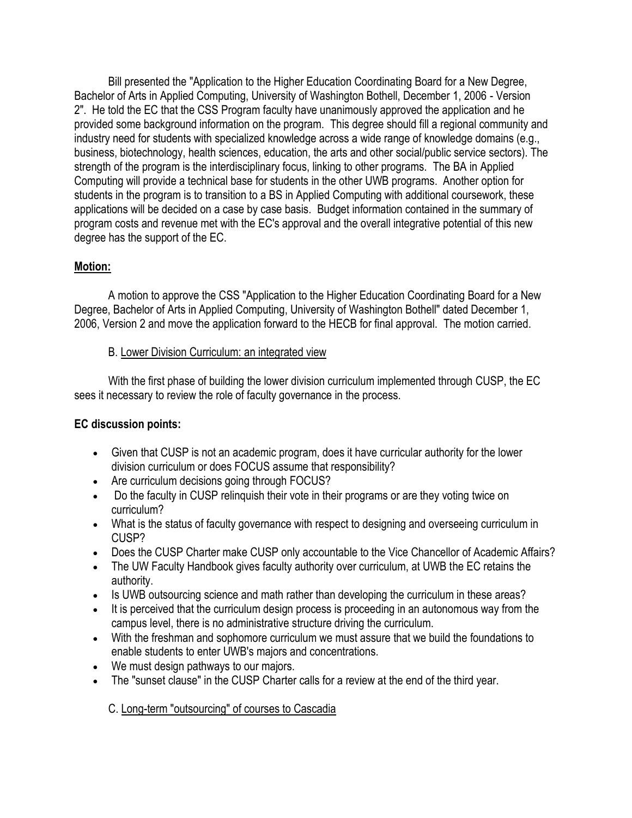Bill presented the "Application to the Higher Education Coordinating Board for a New Degree, Bachelor of Arts in Applied Computing, University of Washington Bothell, December 1, 2006 - Version 2". He told the EC that the CSS Program faculty have unanimously approved the application and he provided some background information on the program. This degree should fill a regional community and industry need for students with specialized knowledge across a wide range of knowledge domains (e.g., business, biotechnology, health sciences, education, the arts and other social/public service sectors). The strength of the program is the interdisciplinary focus, linking to other programs. The BA in Applied Computing will provide a technical base for students in the other UWB programs. Another option for students in the program is to transition to a BS in Applied Computing with additional coursework, these applications will be decided on a case by case basis. Budget information contained in the summary of program costs and revenue met with the EC's approval and the overall integrative potential of this new degree has the support of the EC.

# **Motion:**

 A motion to approve the CSS "Application to the Higher Education Coordinating Board for a New Degree, Bachelor of Arts in Applied Computing, University of Washington Bothell" dated December 1, 2006, Version 2 and move the application forward to the HECB for final approval. The motion carried.

# B. Lower Division Curriculum: an integrated view

 With the first phase of building the lower division curriculum implemented through CUSP, the EC sees it necessary to review the role of faculty governance in the process.

# **EC discussion points:**

- Given that CUSP is not an academic program, does it have curricular authority for the lower division curriculum or does FOCUS assume that responsibility?
- Are curriculum decisions going through FOCUS?
- Do the faculty in CUSP relinguish their vote in their programs or are they voting twice on curriculum?
- What is the status of faculty governance with respect to designing and overseeing curriculum in CUSP?
- Does the CUSP Charter make CUSP only accountable to the Vice Chancellor of Academic Affairs?
- The UW Faculty Handbook gives faculty authority over curriculum, at UWB the EC retains the authority.
- Is UWB outsourcing science and math rather than developing the curriculum in these areas?
- It is perceived that the curriculum design process is proceeding in an autonomous way from the campus level, there is no administrative structure driving the curriculum.
- With the freshman and sophomore curriculum we must assure that we build the foundations to enable students to enter UWB's majors and concentrations.
- We must design pathways to our majors.
- The "sunset clause" in the CUSP Charter calls for a review at the end of the third year.

C. Long-term "outsourcing" of courses to Cascadia